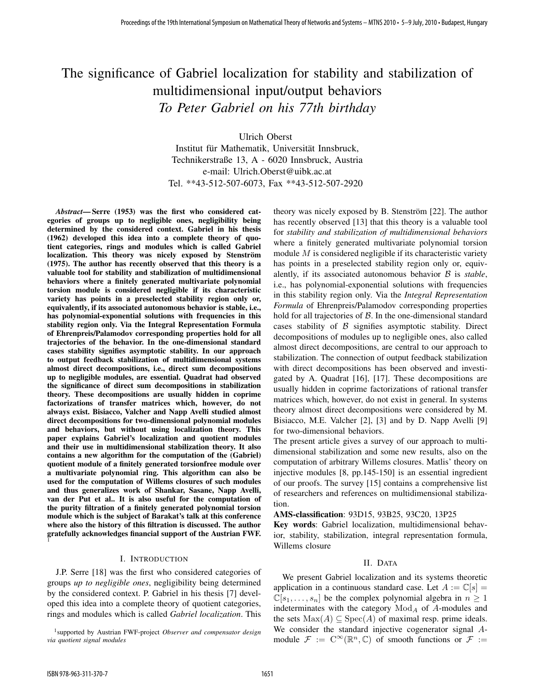# The significance of Gabriel localization for stability and stabilization of multidimensional input/output behaviors *To Peter Gabriel on his 77th birthday*

Ulrich Oberst Institut für Mathematik, Universität Innsbruck, Technikerstraße 13, A - 6020 Innsbruck, Austria e-mail: Ulrich.Oberst@uibk.ac.at Tel. \*\*43-512-507-6073, Fax \*\*43-512-507-2920

*Abstract*— Serre (1953) was the first who considered categories of groups up to negligible ones, negligibility being determined by the considered context. Gabriel in his thesis (1962) developed this idea into a complete theory of quotient categories, rings and modules which is called Gabriel localization. This theory was nicely exposed by Stenström (1975). The author has recently observed that this theory is a valuable tool for stability and stabilization of multidimensional behaviors where a finitely generated multivariate polynomial torsion module is considered negligible if its characteristic variety has points in a preselected stability region only or, equivalently, if its associated autonomous behavior is stable, i.e., has polynomial-exponential solutions with frequencies in this stability region only. Via the Integral Representation Formula of Ehrenpreis/Palamodov corresponding properties hold for all trajectories of the behavior. In the one-dimensional standard cases stability signifies asymptotic stability. In our approach to output feedback stabilization of multidimensional systems almost direct decompositions, i.e., direct sum decompositions up to negligible modules, are essential. Quadrat had observed the significance of direct sum decompositions in stabilization theory. These decompositions are usually hidden in coprime factorizations of transfer matrices which, however, do not always exist. Bisiacco, Valcher and Napp Avelli studied almost direct decompositions for two-dimensional polynomial modules and behaviors, but without using localization theory. This paper explains Gabriel's localization and quotient modules and their use in multidimensional stabilization theory. It also contains a new algorithm for the computation of the (Gabriel) quotient module of a finitely generated torsionfree module over a multivariate polynomial ring. This algorithm can also be used for the computation of Willems closures of such modules and thus generalizes work of Shankar, Sasane, Napp Avelli, van der Put et al.. It is also useful for the computation of the purity filtration of a finitely generated polynomial torsion module which is the subject of Barakat's talk at this conference where also the history of this filtration is discussed. The author gratefully acknowledges financial support of the Austrian FWF. 1

# I. INTRODUCTION

J.P. Serre [18] was the first who considered categories of groups *up to negligible ones*, negligibility being determined by the considered context. P. Gabriel in his thesis [7] developed this idea into a complete theory of quotient categories, rings and modules which is called *Gabriel localization*. This

theory was nicely exposed by B. Stenström [22]. The author has recently observed [13] that this theory is a valuable tool for *stability and stabilization of multidimensional behaviors* where a finitely generated multivariate polynomial torsion module  $M$  is considered negligible if its characteristic variety has points in a preselected stability region only or, equivalently, if its associated autonomous behavior B is *stable*, i.e., has polynomial-exponential solutions with frequencies in this stability region only. Via the *Integral Representation Formula* of Ehrenpreis/Palamodov corresponding properties hold for all trajectories of  $B$ . In the one-dimensional standard cases stability of  $\beta$  signifies asymptotic stability. Direct decompositions of modules up to negligible ones, also called almost direct decompositions, are central to our approach to stabilization. The connection of output feedback stabilization with direct decompositions has been observed and investigated by A. Quadrat [16], [17]. These decompositions are usually hidden in coprime factorizations of rational transfer matrices which, however, do not exist in general. In systems theory almost direct decompositions were considered by M. Bisiacco, M.E. Valcher [2], [3] and by D. Napp Avelli [9] for two-dimensional behaviors.

The present article gives a survey of our approach to multidimensional stabilization and some new results, also on the computation of arbitrary Willems closures. Matlis' theory on injective modules [8, pp.145-150] is an essential ingredient of our proofs. The survey [15] contains a comprehensive list of researchers and references on multidimensional stabilization.

# AMS-classification: 93D15, 93B25, 93C20, 13P25

Key words: Gabriel localization, multidimensional behavior, stability, stabilization, integral representation formula, Willems closure

# II. DATA

We present Gabriel localization and its systems theoretic application in a continuous standard case. Let  $A := \mathbb{C}[s] =$  $\mathbb{C}[s_1,\ldots,s_n]$  be the complex polynomial algebra in  $n \geq 1$ indeterminates with the category  $Mod<sub>A</sub>$  of A-modules and the sets  $Max(A) \subseteq Spec(A)$  of maximal resp. prime ideals. We consider the standard injective cogenerator signal Amodule  $\mathcal{F} := \mathbb{C}^{\infty}(\mathbb{R}^n, \mathbb{C})$  of smooth functions or  $\mathcal{F} :=$ 

<sup>1</sup> supported by Austrian FWF-project *Observer and compensator design via quotient signal modules*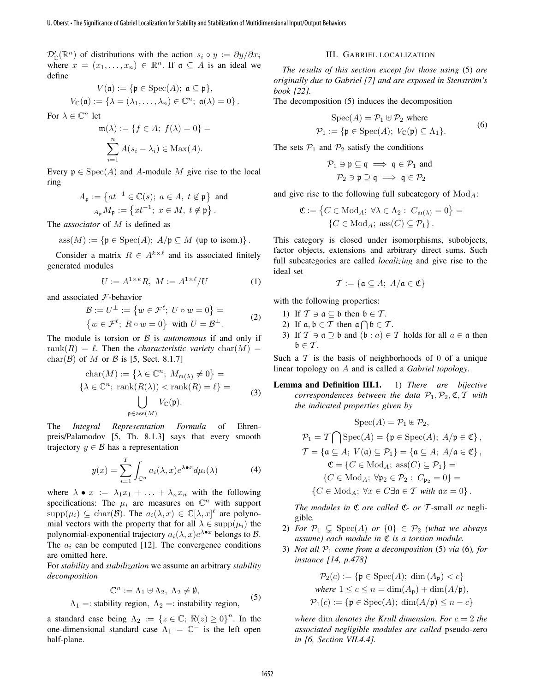$\mathcal{D}'_{\mathbb{C}}(\mathbb{R}^n)$  of distributions with the action  $s_i \circ y := \partial y / \partial x_i$ where  $x = (x_1, \ldots, x_n) \in \mathbb{R}^n$ . If  $\mathfrak{a} \subseteq A$  is an ideal we define

$$
V(\mathfrak{a}) := \{ \mathfrak{p} \in \text{Spec}(A); \ \mathfrak{a} \subseteq \mathfrak{p} \},
$$

$$
V_{\mathbb{C}}(\mathfrak{a}) := \{ \lambda = (\lambda_1, \dots, \lambda_n) \in \mathbb{C}^n; \ \mathfrak{a}(\lambda) = 0 \}.
$$

For  $\lambda \in \mathbb{C}^n$  let

$$
\mathfrak{m}(\lambda) := \{ f \in A; \ f(\lambda) = 0 \} = \sum_{i=1}^n A(s_i - \lambda_i) \in \text{Max}(A).
$$

Every  $\mathfrak{p} \in \text{Spec}(A)$  and A-module M give rise to the local ring

$$
A_{\mathfrak{p}} := \left\{ at^{-1} \in \mathbb{C}(s); \ a \in A, \ t \notin \mathfrak{p} \right\} \text{ and}
$$

$$
A_{\mathfrak{p}} M_{\mathfrak{p}} := \left\{ xt^{-1}; \ x \in M, \ t \notin \mathfrak{p} \right\}.
$$

The *associator* of M is defined as

$$
ass(M) := \{ \mathfrak{p} \in \text{Spec}(A); \ A/\mathfrak{p} \subseteq M \text{ (up to isom.)} \}.
$$

Consider a matrix  $R \in A^{k \times \ell}$  and its associated finitely generated modules

$$
U := A^{1 \times k} R, \ M := A^{1 \times \ell} / U \tag{1}
$$

and associated F-behavior

$$
\mathcal{B} := U^{\perp} := \{ w \in \mathcal{F}^{\ell}; U \circ w = 0 \} =
$$
  

$$
\{ w \in \mathcal{F}^{\ell}; R \circ w = 0 \} \text{ with } U = \mathcal{B}^{\perp}.
$$
 (2)

The module is torsion or  $\beta$  is *autonomous* if and only if rank $(R) = \ell$ . Then the *characteristic variety* char $(M) =$ char( $\mathcal{B}$ ) of M or  $\mathcal{B}$  is [5, Sect. 8.1.7]

$$
\operatorname{char}(M) := \left\{ \lambda \in \mathbb{C}^n; \ M_{\mathfrak{m}(\lambda)} \neq 0 \right\} =
$$

$$
\left\{ \lambda \in \mathbb{C}^n; \ \operatorname{rank}(R(\lambda)) < \operatorname{rank}(R) = \ell \right\} =
$$

$$
\bigcup_{\mathfrak{p} \in \operatorname{ass}(M)} V_{\mathbb{C}}(\mathfrak{p}).
$$
 (3)

The *Integral Representation Formula* of Ehrenpreis/Palamodov [5, Th. 8.1.3] says that every smooth trajectory  $y \in \mathcal{B}$  has a representation

$$
y(x) = \sum_{i=1}^{T} \int_{\mathbb{C}^n} a_i(\lambda, x) e^{\lambda \bullet x} d\mu_i(\lambda)
$$
 (4)

where  $\lambda \bullet x := \lambda_1 x_1 + \ldots + \lambda_n x_n$  with the following specifications: The  $\mu_i$  are measures on  $\mathbb{C}^n$  with support  $\text{supp}(\mu_i) \subseteq \text{char}(\mathcal{B})$ . The  $a_i(\lambda, x) \in \mathbb{C}[\lambda, x]^{\ell}$  are polynomial vectors with the property that for all  $\lambda \in \text{supp}(\mu_i)$  the polynomial-exponential trajectory  $a_i(\lambda, x) e^{\lambda \bullet x}$  belongs to  $\mathcal{B}$ . The  $a_i$  can be computed [12]. The convergence conditions are omitted here. U. Obers • The Significance of Gabriel Contained Cabriel Contained Cabriel Contained Cabriel Contained Cabriel Contained Cabriel Contained Cabriel Contained Cabriel Contained Cabriel Contained Cabriel Contained Cabriel Co

For *stability* and *stabilization* we assume an arbitrary *stability decomposition*

$$
\mathbb{C}^n := \Lambda_1 \uplus \Lambda_2, \ \Lambda_2 \neq \emptyset,\tag{5}
$$

 $\Lambda_1$  =: stability region,  $\Lambda_2$  =: instability region,

a standard case being  $\Lambda_2 := \{z \in \mathbb{C}; \Re(z) \geq 0\}^n$ . In the one-dimensional standard case  $\Lambda_1 = \mathbb{C}^-$  is the left open half-plane.

#### III. GABRIEL LOCALIZATION

*The results of this section except for those using* (5) *are originally due to Gabriel [7] and are exposed in Stenström's book [22].*

The decomposition (5) induces the decomposition

$$
\text{Spec}(A) = \mathcal{P}_1 \oplus \mathcal{P}_2 \text{ where}
$$
  

$$
\mathcal{P}_1 := \{ \mathfrak{p} \in \text{Spec}(A); \ V_{\mathbb{C}}(\mathfrak{p}) \subseteq \Lambda_1 \}. \tag{6}
$$

The sets  $P_1$  and  $P_2$  satisfy the conditions

$$
\mathcal{P}_1 \ni \mathfrak{p} \subseteq \mathfrak{q} \implies \mathfrak{q} \in \mathcal{P}_1 \text{ and}
$$

$$
\mathcal{P}_2 \ni \mathfrak{p} \supseteq \mathfrak{q} \implies \mathfrak{q} \in \mathcal{P}_2
$$

and give rise to the following full subcategory of  $Mod_A$ :

$$
\mathfrak{C} := \left\{ C \in \text{Mod}_A; \ \forall \lambda \in \Lambda_2 : \ C_{\mathfrak{m}(\lambda)} = 0 \right\} =
$$

$$
\left\{ C \in \text{Mod}_A; \ \text{ass}(C) \subseteq \mathcal{P}_1 \right\}.
$$

This category is closed under isomorphisms, subobjects, factor objects, extensions and arbitrary direct sums. Such full subcategories are called *localizing* and give rise to the ideal set

$$
\mathcal{T} := \{ \mathfrak{a} \subseteq A; \ A/\mathfrak{a} \in \mathfrak{C} \}
$$

with the following properties:

- 1) If  $\mathcal{T} \ni \mathfrak{a} \subseteq \mathfrak{b}$  then  $\mathfrak{b} \in \mathcal{T}$ .
- 2) If  $\mathfrak{a}, \mathfrak{b} \in \mathcal{T}$  then  $\mathfrak{a} \cap \mathfrak{b} \in \mathcal{T}$ .
- 3) If  $\mathcal{T} \ni \mathfrak{a} \supseteq \mathfrak{b}$  and  $(\mathfrak{b} : a) \in \mathcal{T}$  holds for all  $a \in \mathfrak{a}$  then  $\mathfrak{b} \in \mathcal{T}$ .

Such a  $T$  is the basis of neighborhoods of 0 of a unique linear topology on A and is called a *Gabriel topology*.

Lemma and Definition III.1. 1) *There are bijective correspondences between the data*  $P_1, P_2, \mathfrak{C}, \mathcal{T}$  *with the indicated properties given by*

$$
\operatorname{Spec}(A) = \mathcal{P}_1 \oplus \mathcal{P}_2,
$$
  
\n
$$
\mathcal{P}_1 = \mathcal{T} \cap \operatorname{Spec}(A) = \{ \mathfrak{p} \in \operatorname{Spec}(A); \ A/\mathfrak{p} \in \mathfrak{C} \},
$$
  
\n
$$
\mathcal{T} = \{ \mathfrak{a} \subseteq A; \ V(\mathfrak{a}) \subseteq \mathcal{P}_1 \} = \{ \mathfrak{a} \subseteq A; \ A/\mathfrak{a} \in \mathfrak{C} \},
$$
  
\n
$$
\mathfrak{C} = \{ C \in \operatorname{Mod}_A; \operatorname{ass}(C) \subseteq \mathcal{P}_1 \} =
$$
  
\n
$$
\{ C \in \operatorname{Mod}_A; \ \forall \mathfrak{p}_2 \in \mathcal{P}_2 : \ C_{\mathfrak{p}_2} = 0 \} =
$$
  
\n
$$
\{ C \in \operatorname{Mod}_A; \ \forall x \in C \exists \mathfrak{a} \in \mathcal{T} \ with \ ax = 0 \}.
$$

*The modules in* C *are called* C*- or* T *-*small *or* negligible*.*

- 2) *For*  $\mathcal{P}_1 \subsetneq \text{Spec}(A)$  *or*  $\{0\} \in \mathcal{P}_2$  *(what we always assume) each module in* C *is a torsion module.*
- 3) *Not all* P<sup>1</sup> *come from a decomposition* (5) *via* (6)*, for instance [14, p.478]*

$$
\mathcal{P}_2(c) := \{ \mathfrak{p} \in \text{Spec}(A); \dim(A_{\mathfrak{p}}) < c \}
$$
\nwhere  $1 \leq c \leq n = \dim(A_{\mathfrak{p}}) + \dim(A/\mathfrak{p}),$ 

\n
$$
\mathcal{P}_1(c) := \{ \mathfrak{p} \in \text{Spec}(A); \dim(A/\mathfrak{p}) \leq n - c \}
$$

*where* dim *denotes the Krull dimension. For*  $c = 2$  *the associated negligible modules are called* pseudo-zero *in [6, Section VII.4.4].*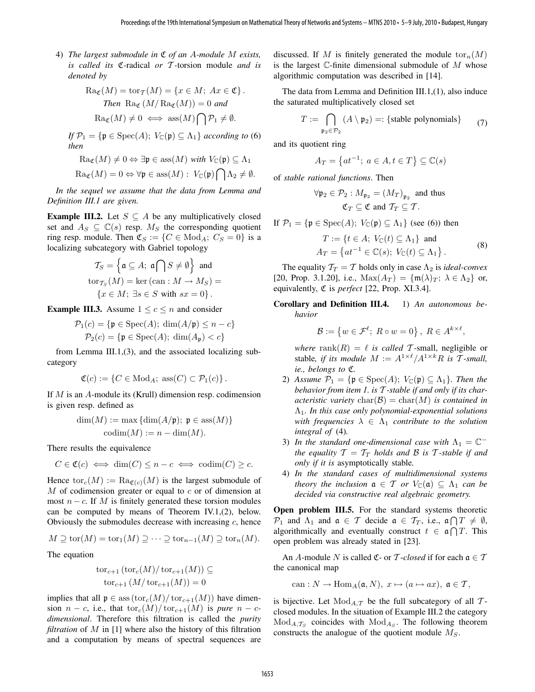4) *The largest submodule in* C *of an* A*-module* M *exists, is called its* C*-*radical *or* T *-*torsion module *and is denoted by*

$$
\operatorname{Ra}_{\mathfrak{C}}(M) = \operatorname{tor}_{\mathcal{T}}(M) = \{x \in M; \ Ax \in \mathfrak{C}\}.
$$
  
*Then* 
$$
\operatorname{Ra}_{\mathfrak{C}}(M/\operatorname{Ra}_{\mathfrak{C}}(M)) = 0 \ and
$$
  

$$
\operatorname{Ra}_{\mathfrak{C}}(M) \neq 0 \iff \operatorname{ass}(M) \bigcap \mathcal{P}_1 \neq \emptyset.
$$

*If*  $\mathcal{P}_1 = \{ \mathfrak{p} \in \text{Spec}(A); V_{\mathbb{C}}(\mathfrak{p}) \subseteq \Lambda_1 \}$  *according to* (6) *then*

$$
\text{Ra}_{\mathfrak{C}}(M) \neq 0 \Leftrightarrow \exists \mathfrak{p} \in \text{ass}(M) \text{ with } V_{\mathbb{C}}(\mathfrak{p}) \subseteq \Lambda_1
$$

$$
\operatorname{Ra}_{\mathfrak{C}}(M) = 0 \Leftrightarrow \forall \mathfrak{p} \in \operatorname{ass}(M): V_{\mathbb{C}}(\mathfrak{p}) \bigcap \Lambda_2 \neq \emptyset.
$$

*In the sequel we assume that the data from Lemma and Definition III.1 are given.*

**Example III.2.** Let  $S \subseteq A$  be any multiplicatively closed set and  $A_S \subseteq \mathbb{C}(s)$  resp.  $M_S$  the corresponding quotient ring resp. module. Then  $\mathfrak{C}_S := \{ C \in \text{Mod}_A; C_S = 0 \}$  is a localizing subcategory with Gabriel topology

$$
\mathcal{T}_S = \left\{ \mathfrak{a} \subseteq A; \ \mathfrak{a} \bigcap S \neq \emptyset \right\} \text{ and}
$$
  
\n
$$
\text{tor}_{\mathcal{T}_S}(M) = \text{ker } (\text{can} : M \to M_S) =
$$
  
\n
$$
\left\{ x \in M; \ \exists s \in S \text{ with } sx = 0 \right\}.
$$

**Example III.3.** Assume  $1 \leq c \leq n$  and consider

$$
\mathcal{P}_1(c) = \{ \mathfrak{p} \in \text{Spec}(A); \dim(A/\mathfrak{p}) \le n - c \}
$$

$$
\mathcal{P}_2(c) = \{ \mathfrak{p} \in \text{Spec}(A); \dim(A_{\mathfrak{p}}) < c \}
$$

from Lemma III.1,(3), and the associated localizing subcategory

$$
\mathfrak{C}(c) := \{ C \in \text{Mod}_A; \text{ ass}(C) \subset \mathcal{P}_1(c) \}.
$$

If  $M$  is an  $A$ -module its (Krull) dimension resp. codimension is given resp. defined as

$$
\dim(M) := \max \{ \dim(A/\mathfrak{p}); \ \mathfrak{p} \in \text{ass}(M) \}
$$

$$
\operatorname{codim}(M) := n - \dim(M).
$$

There results the equivalence

$$
C\in \mathfrak{C}(c) \iff \dim(C) \leq n-c \iff \operatorname{codim}(C) \geq c.
$$

Hence  $\text{tor}_c(M) := \text{Ra}_{\mathfrak{C}(c)}(M)$  is the largest submodule of  $M$  of codimension greater or equal to  $c$  or of dimension at most  $n - c$ . If M is finitely generated these torsion modules can be computed by means of Theorem IV.1,(2), below. Obviously the submodules decrease with increasing  $c$ , hence

$$
M \supseteq \text{tor}(M) = \text{tor}_1(M) \supseteq \cdots \supseteq \text{tor}_{n-1}(M) \supseteq \text{tor}_n(M).
$$

The equation

$$
tor_{c+1} (tor_c(M)/tor_{c+1}(M)) \subseteq
$$
  

$$
tor_{c+1} (M/tor_{c+1}(M)) = 0
$$

implies that all  $\mathfrak{p} \in \text{ass}(\text{tor}_c(M)/\text{tor}_{c+1}(M))$  have dimension  $n - c$ , i.e., that  $\text{tor}_c(M)/\text{tor}_{c+1}(M)$  is *pure*  $n - c$ *dimensional*. Therefore this filtration is called the *purity filtration* of M in [1] where also the history of this filtration and a computation by means of spectral sequences are discussed. If M is finitely generated the module  $\text{tor}_n(M)$ is the largest  $\mathbb C$ -finite dimensional submodule of  $M$  whose algorithmic computation was described in [14].

The data from Lemma and Definition III.1,(1), also induce the saturated multiplicatively closed set

$$
T := \bigcap_{\mathfrak{p}_2 \in \mathcal{P}_2} (A \setminus \mathfrak{p}_2) =: \{ \text{stable polynomials} \} \tag{7}
$$

and its quotient ring

$$
A_T = \left\{ at^{-1}; \ a \in A, t \in T \right\} \subseteq \mathbb{C}(s)
$$

of *stable rational functions*. Then

$$
\forall \mathfrak{p}_2 \in \mathcal{P}_2 : M_{\mathfrak{p}_2} = (M_T)_{\mathfrak{p}_2}
$$
 and thus  

$$
\mathfrak{C}_T \subseteq \mathfrak{C} \text{ and } \mathcal{T}_T \subseteq \mathcal{T}.
$$

If  $\mathcal{P}_1 = {\mathfrak{p} \in \text{Spec}(A); V_{\mathbb{C}}(\mathfrak{p}) \subseteq \Lambda_1}$  (see (6)) then

$$
T := \{ t \in A; \ V_{\mathbb{C}}(t) \subseteq \Lambda_1 \} \text{ and}
$$
  
\n
$$
A_T = \{ at^{-1} \in \mathbb{C}(s); \ V_{\mathbb{C}}(t) \subseteq \Lambda_1 \}.
$$
\n(8)

The equality  $T_T = T$  holds only in case  $\Lambda_2$  is *ideal-convex* [20, Prop. 3.1.20], i.e.,  $\text{Max}(A_T) = \{\text{m}(\lambda)_T; \lambda \in \Lambda_2\}$  or, equivalently, C is *perfect* [22, Prop. XI.3.4].

Corollary and Definition III.4. 1) *An autonomous behavior*

$$
\mathcal{B} := \{ w \in \mathcal{F}^{\ell}; \ R \circ w = 0 \}, \ R \in A^{k \times \ell},
$$

*where* rank $(R) = \ell$  *is called* T-small, negligible or stable, if its module  $M := A^{1 \times \ell} / A^{1 \times k} R$  is T-small, *ie., belongs to* C*.*

- 2) *Assume*  $\mathcal{P}_1 = \{ \mathfrak{p} \in \text{Spec}(A); V_{\mathbb{C}}(\mathfrak{p}) \subseteq \Lambda_1 \}$ *. Then the behavior from item 1. is* T *-stable if and only if its characteristic variety*  $char(\mathcal{B}) = char(M)$  *is contained in* Λ1*. In this case only polynomial-exponential solutions with frequencies*  $\lambda \in \Lambda_1$  *contribute to the solution integral of* (4)*.*
- 3) In the standard one-dimensional case with  $\Lambda_1 = \mathbb{C}^{-1}$ *the equality*  $T = T_T$  *holds and* B *is* T-stable *if and only if it is* asymptotically stable*.*
- 4) *In the standard cases of multidimensional systems theory the inclusion*  $a \in T$  *or*  $V_{\mathbb{C}}(a) \subseteq \Lambda_1$  *can be decided via constructive real algebraic geometry.*

Open problem III.5. For the standard systems theoretic  $\mathcal{P}_1$  and  $\Lambda_1$  and  $\mathfrak{a} \in \mathcal{T}$  decide  $\mathfrak{a} \in \mathcal{T}_T$ , i.e.,  $\mathfrak{a} \cap T \neq \emptyset$ , algorithmically and eventually construct  $t \in \mathfrak{a} \cap T$ . This open problem was already stated in [23].

An A-module N is called  $\mathfrak{C}$ - or T-*closed* if for each  $\mathfrak{a} \in \mathcal{T}$ the canonical map

can :  $N \to \text{Hom}_A(\mathfrak{a}, N)$ ,  $x \mapsto (a \mapsto ax)$ ,  $\mathfrak{a} \in \mathcal{T}$ ,

is bijective. Let  $Mod_{A,\mathcal{T}}$  be the full subcategory of all  $\mathcal{T}$ closed modules. In the situation of Example III.2 the category  $Mod_{A, \mathcal{T}_{S}}$  coincides with  $Mod_{A_{S}}$ . The following theorem constructs the analogue of the quotient module  $M<sub>S</sub>$ .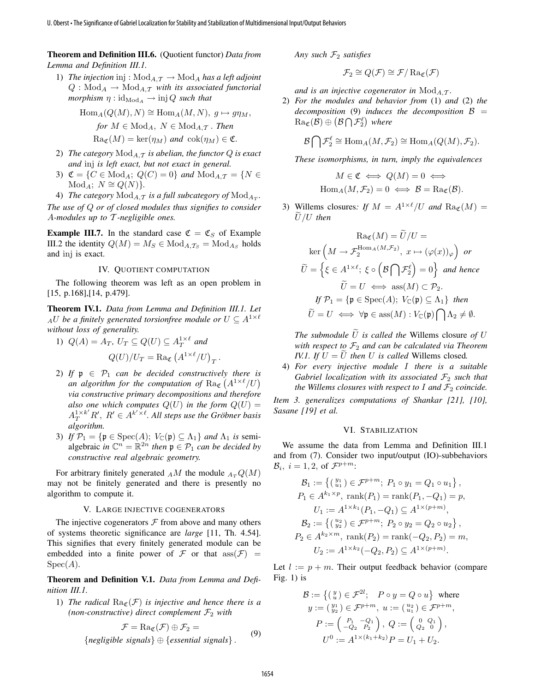Theorem and Definition III.6. (Quotient functor) *Data from Lemma and Definition III.1.*

1) *The injection* inj :  $Mod_{A,\mathcal{T}} \to Mod_A$  *has a left adjoint*  $Q: \text{Mod}_A \to \text{Mod}_{A,\mathcal{T}}$  *with its associated functorial morphism*  $\eta$  :  $\mathrm{id}_{\mathrm{Mod}_A} \to \mathrm{inj} Q$  *such that* 

$$
\text{Hom}_A(Q(M), N) \cong \text{Hom}_A(M, N), \ g \mapsto g\eta_M,
$$
\n
$$
\text{for } M \in \text{Mod}_A, \ N \in \text{Mod}_{A, \mathcal{T}}. \ \text{Then}
$$
\n
$$
\text{Ra}_{\mathfrak{C}}(M) = \text{ker}(\eta_M) \ \text{and} \ \text{cok}(\eta_M) \in \mathfrak{C}.
$$

- 2) *The category*  $Mod_{A,\mathcal{T}}$  *is abelian, the functor*  $Q$  *is exact and* inj *is left exact, but not exact in general.*
- 3)  $\mathfrak{C} = \{C \in \text{Mod}_A; Q(C) = 0\}$  and  $\text{Mod}_{A,\mathcal{T}} = \{N \in$  $Mod_A$ ;  $N \cong Q(N)$ *.*
- 4) *The category*  $\text{Mod}_{A,\mathcal{T}}$  *is a full subcategory of*  $\text{Mod}_{A_\mathcal{T}}$ *.*

*The use of* Q *or of closed modules thus signifies to consider* A*-modules up to* T *-negligible ones.*

**Example III.7.** In the standard case  $\mathfrak{C} = \mathfrak{C}_S$  of Example III.2 the identity  $Q(M) = M_S \in Mod_{A,T_S} = Mod_{A_S}$  holds and inj is exact.

## IV. QUOTIENT COMPUTATION

The following theorem was left as an open problem in [15, p.168],[14, p.479].

Theorem IV.1. *Data from Lemma and Definition III.1. Let*  $_AU$  be a finitely generated torsionfree module or  $U \subseteq A^{1 \times \ell}$ *without loss of generality.*

- 1)  $Q(A) = A_T$ ,  $U_T \subseteq Q(U) \subseteq A_T^{1 \times \ell}$  and  $Q(U)/U_T = \text{Ra}_{\mathfrak{C}} (A^{1 \times \ell}/U)_T$ .
- 2) If  $p \in \mathcal{P}_1$  *can be decided constructively there is* an algorithm for the computation of  $\text{Ra}_{\mathfrak{C}}\left(A^{1\times \ell}/U\right)$ *via constructive primary decompositions and therefore also one which computes*  $Q(U)$  *in the form*  $Q(U)$  =  $A_T^{1\times k'}R'$ ,  $R'\in A^{k'\times \ell}$ . All steps use the Gröbner basis *algorithm.* U. Observe the Significance of Gabriel Content interesting of Gabriel Content interesting in the significance of Gabriel Localization interesting in the significance of Gabriel Localization interesting in the Content of G
	- 3) *If*  $\mathcal{P}_1 = {\mathfrak{p} \in \text{Spec}(A); V_{\mathbb{C}}(\mathfrak{p}) \subseteq \Lambda_1}$  *and*  $\Lambda_1$  *is* semialgebraic *in*  $\mathbb{C}^n = \mathbb{R}^{2n}$  *then*  $\mathfrak{p} \in \mathcal{P}_1$  *can be decided by constructive real algebraic geometry.*

For arbitrary finitely generated  $_A M$  the module  $_{A_T} Q(M)$ may not be finitely generated and there is presently no algorithm to compute it.

## V. LARGE INJECTIVE COGENERATORS

The injective cogenerators  $F$  from above and many others of systems theoretic significance are *large* [11, Th. 4.54]. This signifies that every finitely generated module can be embedded into a finite power of  $\mathcal F$  or that  $\operatorname{ass}(\mathcal F)$  =  $Spec(A).$ 

Theorem and Definition V.1. *Data from Lemma and Definition III.1.*

1) *The radical*  $Ra_{\mathcal{C}}(\mathcal{F})$  *is injective and hence there is a (non-constructive)* direct complement  $\mathcal{F}_2$  with

$$
\mathcal{F} = \text{Ra}_{\mathfrak{C}}(\mathcal{F}) \oplus \mathcal{F}_2 =
$$
  
{*negligible signals*}  $\oplus$  {*essential signals*}. (9)

*Any such*  $\mathcal{F}_2$  *satisfies* 

$$
\mathcal{F}_2 \cong Q(\mathcal{F}) \cong \mathcal{F}/\operatorname{Ra}_{\mathfrak{C}}(\mathcal{F})
$$

*and is an injective cogenerator in*  $Mod_{A,T}$ *.* 

2) *For the modules and behavior from* (1) *and* (2) *the decomposition* (9) *induces the decomposition*  $\beta$  =  $\text{Ra}_{\mathfrak{C}}(\mathcal{B}) \oplus \left(\mathcal{B}\bigcap\mathcal{F}_{2}^{\ell}\right)$  where

$$
\mathcal{B}\bigcap \mathcal{F}_2^{\ell} \cong \text{Hom}_A(M,\mathcal{F}_2) \cong \text{Hom}_A(Q(M),\mathcal{F}_2).
$$

*These isomorphisms, in turn, imply the equivalences*

$$
M \in \mathfrak{C} \iff Q(M) = 0 \iff
$$
  
Hom<sub>A</sub> $(M, \mathcal{F}_2) = 0 \iff \mathcal{B} = \text{Ra}_{\mathfrak{C}}(\mathcal{B}).$ 

3) Willems closures: If  $M = A^{1 \times \ell}/U$  and  $\text{Ra}_{\mathfrak{C}}(M) =$  $U/U$  then

$$
\operatorname{Ra}_{\mathfrak{C}}(M) = \widetilde{U}/U =
$$
  
\n
$$
\operatorname{ker}\left(M \to \mathcal{F}_{2}^{\operatorname{Hom}_{A}(M, \mathcal{F}_{2})}, x \mapsto (\varphi(x))_{\varphi}\right) \text{ or}
$$
  
\n
$$
\widetilde{U} = \left\{\xi \in A^{1 \times \ell}; \ \xi \circ \left(\mathcal{B} \bigcap \mathcal{F}_{2}^{\ell}\right) = 0\right\} \text{ and hence}
$$
  
\n
$$
\widetilde{U} = U \iff \operatorname{ass}(M) \subset \mathcal{P}_{2}.
$$
  
\n
$$
\text{If } \mathcal{P}_{1} = \{\mathfrak{p} \in \operatorname{Spec}(A); \ V_{\mathbb{C}}(\mathfrak{p}) \subseteq \Lambda_{1}\} \text{ then}
$$
  
\n
$$
\widetilde{U} = U \iff \forall \mathfrak{p} \in \operatorname{ass}(M) : V_{\mathbb{C}}(\mathfrak{p}) \bigcap \Lambda_{2} \neq \emptyset.
$$

*The submodule*  $\tilde{U}$  *is called the Willems closure of* U *with respect to*  $F_2$  *and can be calculated via Theorem IV.1. If*  $U = \overline{U}$  *then*  $U$  *is called* Willems closed.

4) *For every injective module* I *there is a suitable Gabriel localization with its associated*  $\mathcal{F}_2$  *such that the Willems closures with respect to*  $I$  *and*  $\mathcal{F}_2$  *coincide.* 

*Item 3. generalizes computations of Shankar [21], [10], Sasane [19] et al.*

#### VI. STABILIZATION

We assume the data from Lemma and Definition III.1 and from (7). Consider two input/output (IO)-subbehaviors  $\mathcal{B}_i$ ,  $i = 1, 2$ , of  $\mathcal{F}^{p+m}$ :

$$
\mathcal{B}_1 := \left\{ \begin{matrix} y_1 \\ u_1 \end{matrix} \right\} \in \mathcal{F}^{p+m}; \ P_1 \circ y_1 = Q_1 \circ u_1 \left\},
$$
\n
$$
P_1 \in A^{k_1 \times p}, \text{ rank}(P_1) = \text{rank}(P_1, -Q_1) = p,
$$
\n
$$
U_1 := A^{1 \times k_1}(P_1, -Q_1) \subseteq A^{1 \times (p+m)},
$$
\n
$$
\mathcal{B}_2 := \left\{ \begin{matrix} y_2 \\ y_2 \end{matrix} \right\} \in \mathcal{F}^{p+m}; \ P_2 \circ y_2 = Q_2 \circ u_2 \left\},
$$
\n
$$
P_2 \in A^{k_2 \times m}, \text{ rank}(P_2) = \text{rank}(-Q_2, P_2) = m,
$$
\n
$$
U_2 := A^{1 \times k_2}(-Q_2, P_2) \subseteq A^{1 \times (p+m)}.
$$

Let  $l := p + m$ . Their output feedback behavior (compare Fig.  $1$ ) is

$$
\mathcal{B} := \left\{ \begin{pmatrix} y \\ u \end{pmatrix} \in \mathcal{F}^{2l}; \quad P \circ y = Q \circ u \right\} \text{ where}
$$
  
\n
$$
y := \begin{pmatrix} y_1 \\ y_2 \end{pmatrix} \in \mathcal{F}^{p+m}, u := \begin{pmatrix} u_2 \\ u_1 \end{pmatrix} \in \mathcal{F}^{p+m},
$$
  
\n
$$
P := \begin{pmatrix} P_1 & -Q_1 \\ -Q_2 & P_2 \end{pmatrix}, Q := \begin{pmatrix} 0 & Q_1 \\ Q_2 & 0 \end{pmatrix},
$$
  
\n
$$
U^0 := A^{1 \times (k_1 + k_2)} P = U_1 + U_2.
$$